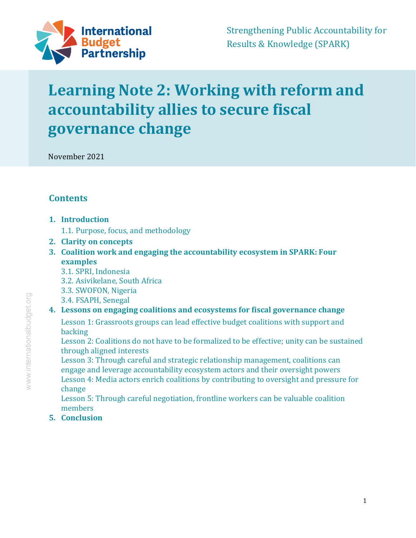

# **Learning Note 2: Working with reform and accountability allies to secure fiscal governance change**

November 2021

# **Contents**

- **1. Introduction** 
	- 1.1. Purpose, focus, and methodology
- **2. Clarity on concepts**
- **3. Coalition work and engaging the accountability ecosystem in SPARK: Four examples** 
	- 3.1. SPRI, Indonesia
	- 3.2. Asivikelane, South Africa
	- 3.3. SWOFON, Nigeria
	- 3.4. FSAPH, Senegal

### **4. Lessons on engaging coalitions and ecosystems for fiscal governance change**

Lesson 1: Grassroots groups can lead effective budget coalitions with support and backing

Lesson 2: Coalitions do not have to be formalized to be effective; unity can be sustained through aligned interests

Lesson 3: Through careful and strategic relationship management, coalitions can engage and leverage accountability ecosystem actors and their oversight powers Lesson 4: Media actors enrich coalitions by contributing to oversight and pressure for change

Lesson 5: Through careful negotiation, frontline workers can be valuable coalition members

**5. Conclusion**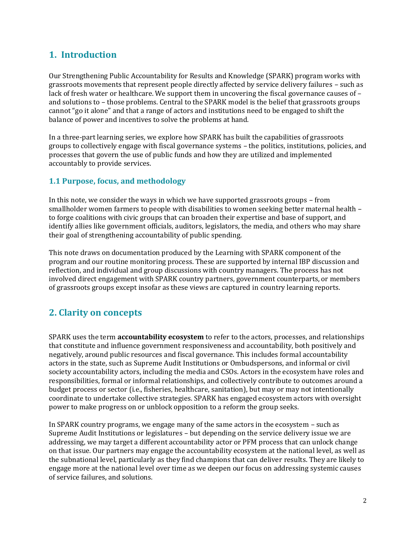## **1. Introduction**

Our Strengthening Public Accountability for Results and Knowledge (SPARK) program works with grassroots movements that represent people directly affected by service delivery failures – such as lack of fresh water or healthcare. We support them in uncovering the fiscal governance causes of – and solutions to – those problems. Central to the SPARK model is the belief that grassroots groups cannot "go it alone" and that a range of actors and institutions need to be engaged to shift the balance of power and incentives to solve the problems at hand.

In a three-part learning series, we explore how SPARK has built the capabilities of grassroots groups to collectively engage with fiscal governance systems – the politics, institutions, policies, and processes that govern the use of public funds and how they are utilized and implemented accountably to provide services.

#### **1.1 Purpose, focus, and methodology**

In this note, we consider the ways in which we have supported grassroots groups – from smallholder women farmers to people with disabilities to women seeking better maternal health – to forge coalitions with civic groups that can broaden their expertise and base of support, and identify allies like government officials, auditors, legislators, the media, and others who may share their goal of strengthening accountability of public spending.

This note draws on documentation produced by the Learning with SPARK component of the program and our routine monitoring process. These are supported by internal IBP discussion and reflection, and individual and group discussions with country managers. The process has not involved direct engagement with SPARK country partners, government counterparts, or members of grassroots groups except insofar as these views are captured in country learning reports.

# **2. Clarity on concepts**

SPARK uses the term **accountability ecosystem** to refer to the actors, processes, and relationships that constitute and influence government responsiveness and accountability, both positively and negatively, around public resources and fiscal governance. This includes formal accountability actors in the state, such as Supreme Audit Institutions or Ombudspersons, and informal or civil society accountability actors, including the media and CSOs. Actors in the ecosystem have roles and responsibilities, formal or informal relationships, and collectively contribute to outcomes around a budget process or sector (i.e., fisheries, healthcare, sanitation), but may or may not intentionally coordinate to undertake collective strategies. SPARK has engaged ecosystem actors with oversight power to make progress on or unblock opposition to a reform the group seeks.

In SPARK country programs, we engage many of the same actors in the ecosystem – such as Supreme Audit Institutions or legislatures – but depending on the service delivery issue we are addressing, we may target a different accountability actor or PFM process that can unlock change on that issue. Our partners may engage the accountability ecosystem at the national level, as well as the subnational level, particularly as they find champions that can deliver results. They are likely to engage more at the national level over time as we deepen our focus on addressing systemic causes of service failures, and solutions.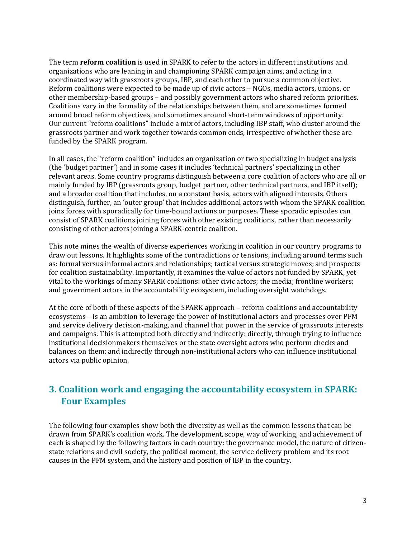The term **reform coalition** is used in SPARK to refer to the actors in different institutions and organizations who are leaning in and championing SPARK campaign aims, and acting in a coordinated way with grassroots groups, IBP, and each other to pursue a common objective. Reform coalitions were expected to be made up of civic actors – NGOs, media actors, unions, or other membership-based groups – and possibly government actors who shared reform priorities. Coalitions vary in the formality of the relationships between them, and are sometimes formed around broad reform objectives, and sometimes around short-term windows of opportunity. Our current "reform coalitions" include a mix of actors, including IBP staff, who cluster around the grassroots partner and work together towards common ends, irrespective of whether these are funded by the SPARK program.

In all cases, the "reform coalition" includes an organization or two specializing in budget analysis (the 'budget partner') and in some cases it includes 'technical partners' specializing in other relevant areas. Some country programs distinguish between a core coalition of actors who are all or mainly funded by IBP (grassroots group, budget partner, other technical partners, and IBP itself); and a broader coalition that includes, on a constant basis, actors with aligned interests. Others distinguish, further, an 'outer group' that includes additional actors with whom the SPARK coalition joins forces with sporadically for time-bound actions or purposes. These sporadic episodes can consist of SPARK coalitions joining forces with other existing coalitions, rather than necessarily consisting of other actors joining a SPARK-centric coalition.

This note mines the wealth of diverse experiences working in coalition in our country programs to draw out lessons. It highlights some of the contradictions or tensions, including around terms such as: formal versus informal actors and relationships; tactical versus strategic moves; and prospects for coalition sustainability. Importantly, it examines the value of actors not funded by SPARK, yet vital to the workings of many SPARK coalitions: other civic actors; the media; frontline workers; and government actors in the accountability ecosystem, including oversight watchdogs.

At the core of both of these aspects of the SPARK approach – reform coalitions and accountability ecosystems – is an ambition to leverage the power of institutional actors and processes over PFM and service delivery decision-making, and channel that power in the service of grassroots interests and campaigns. This is attempted both directly and indirectly: directly, through trying to influence institutional decisionmakers themselves or the state oversight actors who perform checks and balances on them; and indirectly through non-institutional actors who can influence institutional actors via public opinion.

# **3. Coalition work and engaging the accountability ecosystem in SPARK: Four Examples**

The following four examples show both the diversity as well as the common lessons that can be drawn from SPARK's coalition work. The development, scope, way of working, and achievement of each is shaped by the following factors in each country: the governance model, the nature of citizenstate relations and civil society, the political moment, the service delivery problem and its root causes in the PFM system, and the history and position of IBP in the country.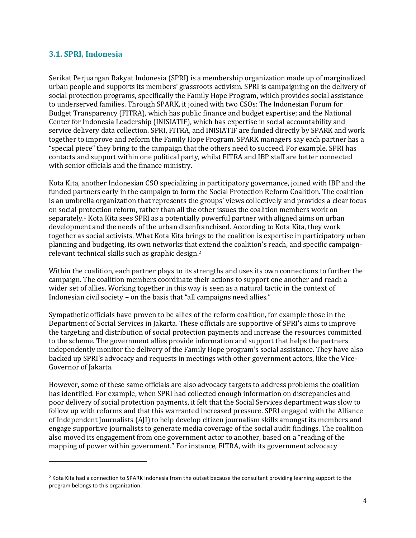#### **3.1. SPRI, Indonesia**

Serikat Perjuangan Rakyat Indonesia (SPRI) is a membership organization made up of marginalized urban people and supports its members' grassroots activism. SPRI is campaigning on the delivery of social protection programs, specifically the Family Hope Program, which provides social assistance to underserved families. Through SPARK, it joined with two CSOs: The Indonesian Forum for Budget Transparency (FITRA), which has public finance and budget expertise; and the National Center for Indonesia Leadership (INISIATIF), which has expertise in social accountability and service delivery data collection. SPRI, FITRA, and INISIATIF are funded directly by SPARK and work together to improve and reform the Family Hope Program. SPARK managers say each partner has a "special piece" they bring to the campaign that the others need to succeed. For example, SPRI has contacts and support within one political party, whilst FITRA and IBP staff are better connected with senior officials and the finance ministry.

Kota Kita, another Indonesian CSO specializing in participatory governance, joined with IBP and the funded partners early in the campaign to form the Social Protection Reform Coalition. The coalition is an umbrella organization that represents the groups' views collectively and provides a clear focus on social protection reform, rather than all the other issues the coalition members work on separately.1 Kota Kita sees SPRI as a potentially powerful partner with aligned aims on urban development and the needs of the urban disenfranchised. According to Kota Kita, they work together as social activists. What Kota Kita brings to the coalition is expertise in participatory urban planning and budgeting, its own networks that extend the coalition's reach, and specific campaignrelevant technical skills such as graphic design.<sup>2</sup>

Within the coalition, each partner plays to its strengths and uses its own connections to further the campaign. The coalition members coordinate their actions to support one another and reach a wider set of allies. Working together in this way is seen as a natural tactic in the context of Indonesian civil society – on the basis that "all campaigns need allies."

Sympathetic officials have proven to be allies of the reform coalition, for example those in the Department of Social Services in Jakarta. These officials are supportive of SPRI's aims to improve the targeting and distribution of social protection payments and increase the resources committed to the scheme. The government allies provide information and support that helps the partners independently monitor the delivery of the Family Hope program's social assistance. They have also backed up SPRI's advocacy and requests in meetings with other government actors, like the Vice-Governor of Jakarta.

However, some of these same officials are also advocacy targets to address problems the coalition has identified. For example, when SPRI had collected enough information on discrepancies and poor delivery of social protection payments, it felt that the Social Services department was slow to follow up with reforms and that this warranted increased pressure. SPRI engaged with the Alliance of Independent Journalists (AJI) to help develop citizen journalism skills amongst its members and engage supportive journalists to generate media coverage of the social audit findings. The coalition also moved its engagement from one government actor to another, based on a "reading of the mapping of power within government." For instance, FITRA, with its government advocacy

<sup>&</sup>lt;sup>2</sup> Kota Kita had a connection to SPARK Indonesia from the outset because the consultant providing learning support to the program belongs to this organization.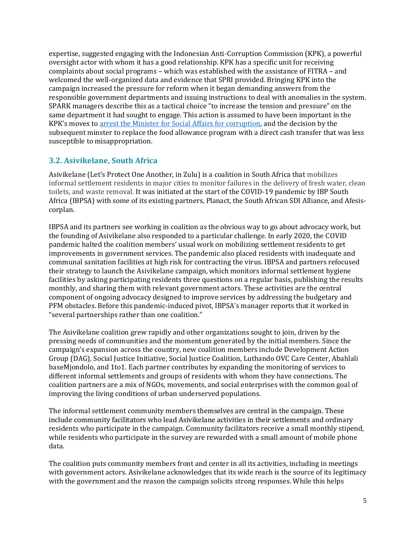expertise, suggested engaging with the Indonesian Anti-Corruption Commission (KPK), a powerful oversight actor with whom it has a good relationship. KPK has a specific unit for receiving complaints about social programs – which was established with the assistance of FITRA – and welcomed the well-organized data and evidence that SPRI provided. Bringing KPK into the campaign increased the pressure for reform when it began demanding answers from the responsible government departments and issuing instructions to deal with anomalies in the system. SPARK managers describe this as a tactical choice "to increase the tension and pressure" on the same department it had sought to engage. This action is assumed to have been important in the KPK's moves to [arrest the Minister for Social Affairs for corruption,](https://www.reuters.com/world/asia-pacific/ex-indonesian-minister-jailed-12-years-over-covid-19-graft-scandal-2021-08-23/) and the decision by the subsequent minster to replace the food allowance program with a direct cash transfer that was less susceptible to misappropriation.

#### **3.2. Asivikelane, South Africa**

Asivikelane (Let's Protect One Another, in Zulu) is a coalition in South Africa that mobilizes informal settlement residents in major cities to monitor failures in the delivery of fresh water, clean toilets, and waste removal. It was initiated at the start of the COVID-19 pandemic by IBP South Africa (IBPSA) with some of its existing partners, Planact, the South African SDI Alliance, and Afesiscorplan.

IBPSA and its partners see working in coalition as the obvious way to go about advocacy work, but the founding of Asivikelane also responded to a particular challenge. In early 2020, the COVID pandemic halted the coalition members' usual work on mobilizing settlement residents to get improvements in government services. The pandemic also placed residents with inadequate and communal sanitation facilities at high risk for contracting the virus. IBPSA and partners refocused their strategy to launch the Asivikelane campaign, which monitors informal settlement hygiene facilities by asking participating residents three questions on a regular basis, publishing the results monthly, and sharing them with relevant government actors. These activities are the central component of ongoing advocacy designed to improve services by addressing the budgetary and PFM obstacles. Before this pandemic-induced pivot, IBPSA's manager reports that it worked in "several partnerships rather than one coalition."

The Asivikelane coalition grew rapidly and other organizations sought to join, driven by the pressing needs of communities and the momentum generated by the initial members. Since the campaign's expansion across the country, new coalition members include Development Action Group (DAG), Social Justice Initiative, Social Justice Coalition, Luthando OVC Care Center, Abahlali baseMjondolo, and 1to1. Each partner contributes by expanding the monitoring of services to different informal settlements and groups of residents with whom they have connections. The coalition partners are a mix of NGOs, movements, and social enterprises with the common goal of improving the living conditions of urban underserved populations.

The informal settlement community members themselves are central in the campaign. These include community facilitators who lead Asivikelane activities in their settlements and ordinary residents who participate in the campaign. Community facilitators receive a small monthly stipend, while residents who participate in the survey are rewarded with a small amount of mobile phone data.

The coalition puts community members front and center in all its activities, including in meetings with government actors. Asivikelane acknowledges that its wide reach is the source of its legitimacy with the government and the reason the campaign solicits strong responses. While this helps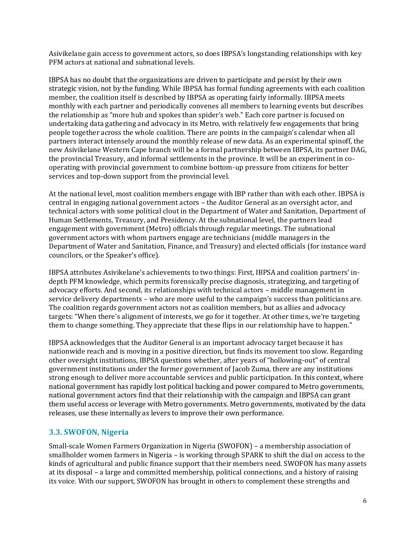Asivikelane gain access to government actors, so does IBPSA's longstanding relationships with key PFM actors at national and subnational levels.

IBPSA has no doubt that the organizations are driven to participate and persist by their own strategic vision, not by the funding. While IBPSA has formal funding agreements with each coalition member, the coalition itself is described by IBPSA as operating fairly informally. IBPSA meets monthly with each partner and periodically convenes all members to learning events but describes the relationship as "more hub and spokes than spider's web." Each core partner is focused on undertaking data gathering and advocacy in its Metro, with relatively few engagements that bring people together across the whole coalition. There are points in the campaign's calendar when all partners interact intensely around the monthly release of new data. As an experimental spinoff, the new Asivikelane Western Cape branch will be a formal partnership between IBPSA, its partner DAG, the provincial Treasury, and informal settlements in the province. It will be an experiment in cooperating with provincial government to combine bottom-up pressure from citizens for better services and top-down support from the provincial level.

At the national level, most coalition members engage with IBP rather than with each other. IBPSA is central in engaging national government actors – the Auditor General as an oversight actor, and technical actors with some political clout in the Department of Water and Sanitation, Department of Human Settlements, Treasury, and Presidency. At the subnational level, the partners lead engagement with government (Metro) officials through regular meetings. The subnational government actors with whom partners engage are technicians (middle managers in the Department of Water and Sanitation, Finance, and Treasury) and elected officials (for instance ward councilors, or the Speaker's office).

IBPSA attributes Asivikelane's achievements to two things: First, IBPSA and coalition partners' indepth PFM knowledge, which permits forensically precise diagnosis, strategizing, and targeting of advocacy efforts. And second, its relationships with technical actors – middle management in service delivery departments – who are more useful to the campaign's success than politicians are. The coalition regards government actors not as coalition members, but as allies and advocacy targets: "When there's alignment of interests, we go for it together. At other times, we're targeting them to change something. They appreciate that these flips in our relationship have to happen."

IBPSA acknowledges that the Auditor General is an important advocacy target because it has nationwide reach and is moving in a positive direction, but finds its movement too slow. Regarding other oversight institutions, IBPSA questions whether, after years of "hollowing-out" of central government institutions under the former government of Jacob Zuma, there are any institutions strong enough to deliver more accountable services and public participation. In this context, where national government has rapidly lost political backing and power compared to Metro governments, national government actors find that their relationship with the campaign and IBPSA can grant them useful access or leverage with Metro governments. Metro governments, motivated by the data releases, use these internally as levers to improve their own performance.

#### **3.3. SWOFON, Nigeria**

Small-scale Women Farmers Organization in Nigeria (SWOFON) – a membership association of smallholder women farmers in Nigeria – is working through SPARK to shift the dial on access to the kinds of agricultural and public finance support that their members need. SWOFON has many assets at its disposal – a large and committed membership, political connections, and a history of raising its voice. With our support, SWOFON has brought in others to complement these strengths and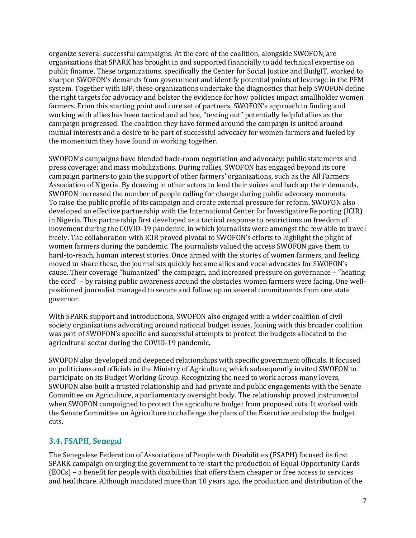organize several successful campaigns. At the core of the coalition, alongside SWOFON, are organizations that SPARK has brought in and supported financially to add technical expertise on public finance. These organizations, specifically the Center for Social Justice and BudgIT, worked to sharpen SWOFON's demands from government and identify potential points of leverage in the PFM system. Together with IBP, these organizations undertake the diagnostics that help SWOFON define the right targets for advocacy and bolster the evidence for how policies impact smallholder women farmers. From this starting point and core set of partners, SWOFON's approach to finding and working with allies has been tactical and ad hoc, "testing out" potentially helpful allies as the campaign progressed. The coalition they have formed around the campaign is united around mutual interests and a desire to be part of successful advocacy for women farmers and fueled by the momentum they have found in working together.

SWOFON's campaigns have blended back-room negotiation and advocacy; public statements and press coverage; and mass mobilizations. During rallies, SWOFON has engaged beyond its core campaign partners to gain the support of other farmers' organizations, such as the All Farmers Association of Nigeria. By drawing in other actors to lend their voices and back up their demands, SWOFON increased the number of people calling for change during public advocacy moments. To raise the public profile of its campaign and create external pressure for reform, SWOFON also developed an effective partnership with the International Center for Investigative Reporting (ICIR) in Nigeria. This partnership first developed as a tactical response to restrictions on freedom of movement during the COVID-19 pandemic, in which journalists were amongst the few able to travel freely**.** The collaboration with ICIR proved pivotal to SWOFON's efforts to highlight the plight of women farmers during the pandemic. The journalists valued the access SWOFON gave them to hard-to-reach, human interest stories. Once armed with the stories of women farmers, and feeling moved to share these, the journalists quickly became allies and vocal advocates for SWOFON's cause. Their coverage "humanized" the campaign, and increased pressure on governance – "heating the cord" – by raising public awareness around the obstacles women farmers were facing. One wellpositioned journalist managed to secure and follow up on several commitments from one state governor.

With SPARK support and introductions, SWOFON also engaged with a wider coalition of civil society organizations advocating around national budget issues. Joining with this broader coalition was part of SWOFON's specific and successful attempts to protect the budgets allocated to the agricultural sector during the COVID-19 pandemic.

SWOFON also developed and deepened relationships with specific government officials. It focused on politicians and officials in the Ministry of Agriculture, which subsequently invited SWOFON to participate on its Budget Working Group. Recognizing the need to work across many levers, SWOFON also built a trusted relationship and had private and public engagements with the Senate Committee on Agriculture, a parliamentary oversight body. The relationship proved instrumental when SWOFON campaigned to protect the agriculture budget from proposed cuts. It worked with the Senate Committee on Agriculture to challenge the plans of the Executive and stop the budget cuts.

#### **3.4. FSAPH, Senegal**

The Senegalese Federation of Associations of People with Disabilities (FSAPH) focused its first SPARK campaign on urging the government to re-start the production of Equal Opportunity Cards (EOCs) – a benefit for people with disabilities that offers them cheaper or free access to services and healthcare. Although mandated more than 10 years ago, the production and distribution of the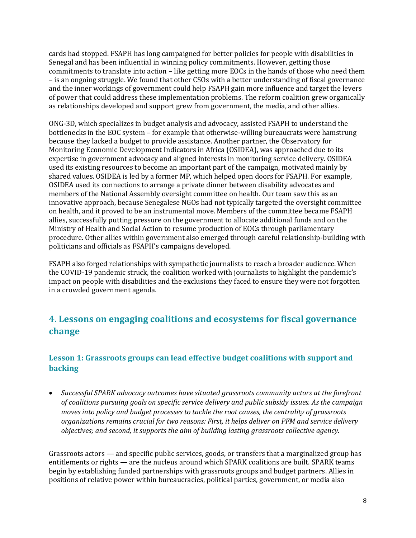cards had stopped. FSAPH has long campaigned for better policies for people with disabilities in Senegal and has been influential in winning policy commitments. However, getting those commitments to translate into action – like getting more EOCs in the hands of those who need them – is an ongoing struggle. We found that other CSOs with a better understanding of fiscal governance and the inner workings of government could help FSAPH gain more influence and target the levers of power that could address these implementation problems. The reform coalition grew organically as relationships developed and support grew from government, the media, and other allies.

ONG-3D, which specializes in budget analysis and advocacy, assisted FSAPH to understand the bottlenecks in the EOC system – for example that otherwise-willing bureaucrats were hamstrung because they lacked a budget to provide assistance. Another partner, the Observatory for Monitoring Economic Development Indicators in Africa (OSIDEA), was approached due to its expertise in government advocacy and aligned interests in monitoring service delivery. OSIDEA used its existing resources to become an important part of the campaign, motivated mainly by shared values. OSIDEA is led by a former MP, which helped open doors for FSAPH. For example, OSIDEA used its connections to arrange a private dinner between disability advocates and members of the National Assembly oversight committee on health. Our team saw this as an innovative approach, because Senegalese NGOs had not typically targeted the oversight committee on health, and it proved to be an instrumental move. Members of the committee became FSAPH allies, successfully putting pressure on the government to allocate additional funds and on the Ministry of Health and Social Action to resume production of EOCs through parliamentary procedure. Other allies within government also emerged through careful relationship-building with politicians and officials as FSAPH's campaigns developed.

FSAPH also forged relationships with sympathetic journalists to reach a broader audience. When the COVID-19 pandemic struck, the coalition worked with journalists to highlight the pandemic's impact on people with disabilities and the exclusions they faced to ensure they were not forgotten in a crowded government agenda.

## **4. Lessons on engaging coalitions and ecosystems for fiscal governance change**

#### **Lesson 1: Grassroots groups can lead effective budget coalitions with support and backing**

• *Successful SPARK advocacy outcomes have situated grassroots community actors at the forefront of coalitions pursuing goals on specific service delivery and public subsidy issues. As the campaign moves into policy and budget processes to tackle the root causes, the centrality of grassroots organizations remains crucial for two reasons: First, it helps deliver on PFM and service delivery objectives; and second, it supports the aim of building lasting grassroots collective agency.* 

Grassroots actors — and specific public services, goods, or transfers that a marginalized group has entitlements or rights — are the nucleus around which SPARK coalitions are built. SPARK teams begin by establishing funded partnerships with grassroots groups and budget partners. Allies in positions of relative power within bureaucracies, political parties, government, or media also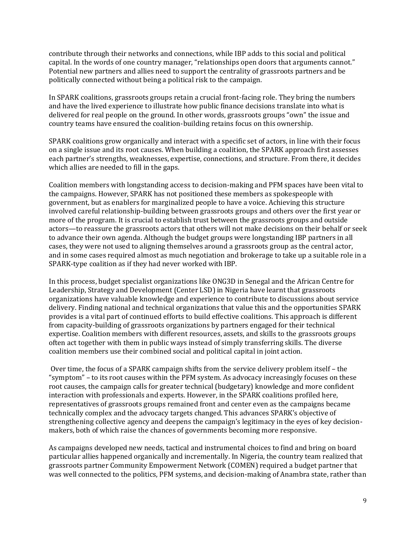contribute through their networks and connections, while IBP adds to this social and political capital. In the words of one country manager, "relationships open doors that arguments cannot." Potential new partners and allies need to support the centrality of grassroots partners and be politically connected without being a political risk to the campaign.

In SPARK coalitions, grassroots groups retain a crucial front-facing role. They bring the numbers and have the lived experience to illustrate how public finance decisions translate into what is delivered for real people on the ground. In other words, grassroots groups "own" the issue and country teams have ensured the coalition-building retains focus on this ownership.

SPARK coalitions grow organically and interact with a specific set of actors, in line with their focus on a single issue and its root causes. When building a coalition, the SPARK approach first assesses each partner's strengths, weaknesses, expertise, connections, and structure. From there, it decides which allies are needed to fill in the gaps.

Coalition members with longstanding access to decision-making and PFM spaces have been vital to the campaigns. However, SPARK has not positioned these members as spokespeople with government, but as enablers for marginalized people to have a voice. Achieving this structure involved careful relationship-building between grassroots groups and others over the first year or more of the program. It is crucial to establish trust between the grassroots groups and outside actors—to reassure the grassroots actors that others will not make decisions on their behalf or seek to advance their own agenda. Although the budget groups were longstanding IBP partners in all cases, they were not used to aligning themselves around a grassroots group as the central actor, and in some cases required almost as much negotiation and brokerage to take up a suitable role in a SPARK-type coalition as if they had never worked with IBP.

In this process, budget specialist organizations like ONG3D in Senegal and the African Centre for Leadership, Strategy and Development (Center LSD) in Nigeria have learnt that grassroots organizations have valuable knowledge and experience to contribute to discussions about service delivery. Finding national and technical organizations that value this and the opportunities SPARK provides is a vital part of continued efforts to build effective coalitions. This approach is different from capacity-building of grassroots organizations by partners engaged for their technical expertise. Coalition members with different resources, assets, and skills to the grassroots groups often act together with them in public ways instead of simply transferring skills. The diverse coalition members use their combined social and political capital in joint action.

 Over time, the focus of a SPARK campaign shifts from the service delivery problem itself – the "symptom" – to its root causes within the PFM system. As advocacy increasingly focuses on these root causes, the campaign calls for greater technical (budgetary) knowledge and more confident interaction with professionals and experts. However, in the SPARK coalitions profiled here, representatives of grassroots groups remained front and center even as the campaigns became technically complex and the advocacy targets changed. This advances SPARK's objective of strengthening collective agency and deepens the campaign's legitimacy in the eyes of key decisionmakers, both of which raise the chances of governments becoming more responsive.

As campaigns developed new needs, tactical and instrumental choices to find and bring on board particular allies happened organically and incrementally. In Nigeria, the country team realized that grassroots partner Community Empowerment Network (COMEN) required a budget partner that was well connected to the politics, PFM systems, and decision-making of Anambra state, rather than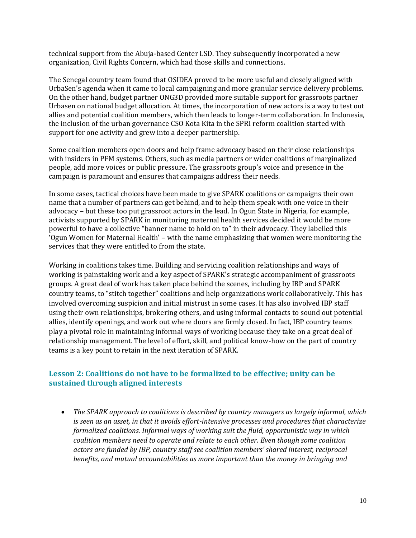technical support from the Abuja-based Center LSD. They subsequently incorporated a new organization, Civil Rights Concern, which had those skills and connections.

The Senegal country team found that OSIDEA proved to be more useful and closely aligned with UrbaSen's agenda when it came to local campaigning and more granular service delivery problems. On the other hand, budget partner ONG3D provided more suitable support for grassroots partner Urbasen on national budget allocation. At times, the incorporation of new actors is a way to test out allies and potential coalition members, which then leads to longer-term collaboration. In Indonesia, the inclusion of the urban governance CSO Kota Kita in the SPRI reform coalition started with support for one activity and grew into a deeper partnership.

Some coalition members open doors and help frame advocacy based on their close relationships with insiders in PFM systems. Others, such as media partners or wider coalitions of marginalized people, add more voices or public pressure. The grassroots group's voice and presence in the campaign is paramount and ensures that campaigns address their needs.

In some cases, tactical choices have been made to give SPARK coalitions or campaigns their own name that a number of partners can get behind, and to help them speak with one voice in their advocacy – but these too put grassroot actors in the lead. In Ogun State in Nigeria, for example, activists supported by SPARK in monitoring maternal health services decided it would be more powerful to have a collective "banner name to hold on to" in their advocacy. They labelled this 'Ogun Women for Maternal Health' – with the name emphasizing that women were monitoring the services that they were entitled to from the state.

Working in coalitions takes time. Building and servicing coalition relationships and ways of working is painstaking work and a key aspect of SPARK's strategic accompaniment of grassroots groups. A great deal of work has taken place behind the scenes, including by IBP and SPARK country teams, to "stitch together" coalitions and help organizations work collaboratively. This has involved overcoming suspicion and initial mistrust in some cases. It has also involved IBP staff using their own relationships, brokering others, and using informal contacts to sound out potential allies, identify openings, and work out where doors are firmly closed. In fact, IBP country teams play a pivotal role in maintaining informal ways of working because they take on a great deal of relationship management. The level of effort, skill, and political know-how on the part of country teams is a key point to retain in the next iteration of SPARK.

#### **Lesson 2: Coalitions do not have to be formalized to be effective; unity can be sustained through aligned interests**

• *The SPARK approach to coalitions is described by country managers as largely informal, which is seen as an asset, in that it avoids effort-intensive processes and procedures that characterize formalized coalitions. Informal ways of working suit the fluid, opportunistic way in which coalition members need to operate and relate to each other. Even though some coalition actors are funded by IBP, country staff see coalition members' shared interest, reciprocal benefits, and mutual accountabilities as more important than the money in bringing and*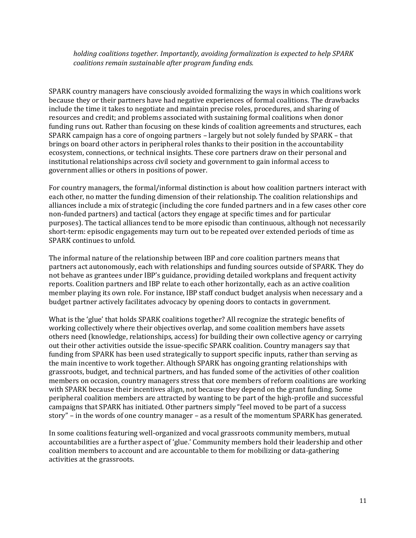*holding coalitions together. Importantly, avoiding formalization is expected to help SPARK coalitions remain sustainable after program funding ends.* 

SPARK country managers have consciously avoided formalizing the ways in which coalitions work because they or their partners have had negative experiences of formal coalitions. The drawbacks include the time it takes to negotiate and maintain precise roles, procedures, and sharing of resources and credit; and problems associated with sustaining formal coalitions when donor funding runs out. Rather than focusing on these kinds of coalition agreements and structures, each SPARK campaign has a core of ongoing partners – largely but not solely funded by SPARK – that brings on board other actors in peripheral roles thanks to their position in the accountability ecosystem, connections, or technical insights. These core partners draw on their personal and institutional relationships across civil society and government to gain informal access to government allies or others in positions of power.

For country managers, the formal/informal distinction is about how coalition partners interact with each other, no matter the funding dimension of their relationship. The coalition relationships and alliances include a mix of strategic (including the core funded partners and in a few cases other core non-funded partners) and tactical (actors they engage at specific times and for particular purposes). The tactical alliances tend to be more episodic than continuous, although not necessarily short-term: episodic engagements may turn out to be repeated over extended periods of time as SPARK continues to unfold.

The informal nature of the relationship between IBP and core coalition partners means that partners act autonomously, each with relationships and funding sources outside of SPARK. They do not behave as grantees under IBP's guidance, providing detailed workplans and frequent activity reports. Coalition partners and IBP relate to each other horizontally, each as an active coalition member playing its own role. For instance, IBP staff conduct budget analysis when necessary and a budget partner actively facilitates advocacy by opening doors to contacts in government.

What is the 'glue' that holds SPARK coalitions together? All recognize the strategic benefits of working collectively where their objectives overlap, and some coalition members have assets others need (knowledge, relationships, access) for building their own collective agency or carrying out their other activities outside the issue-specific SPARK coalition. Country managers say that funding from SPARK has been used strategically to support specific inputs, rather than serving as the main incentive to work together. Although SPARK has ongoing granting relationships with grassroots, budget, and technical partners, and has funded some of the activities of other coalition members on occasion, country managers stress that core members of reform coalitions are working with SPARK because their incentives align, not because they depend on the grant funding. Some peripheral coalition members are attracted by wanting to be part of the high-profile and successful campaigns that SPARK has initiated. Other partners simply "feel moved to be part of a success story" – in the words of one country manager – as a result of the momentum SPARK has generated.

In some coalitions featuring well-organized and vocal grassroots community members, mutual accountabilities are a further aspect of 'glue.' Community members hold their leadership and other coalition members to account and are accountable to them for mobilizing or data-gathering activities at the grassroots.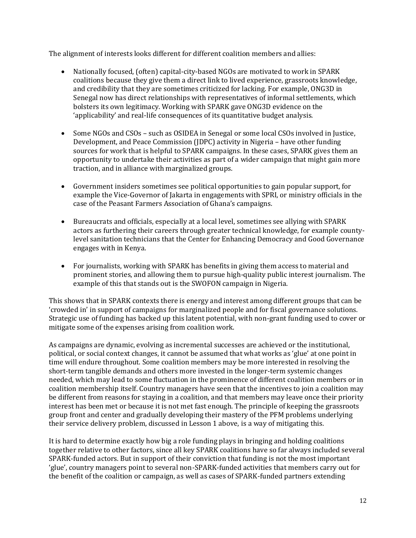The alignment of interests looks different for different coalition members and allies:

- Nationally focused, (often) capital-city-based NGOs are motivated to work in SPARK coalitions because they give them a direct link to lived experience, grassroots knowledge, and credibility that they are sometimes criticized for lacking. For example, ONG3D in Senegal now has direct relationships with representatives of informal settlements, which bolsters its own legitimacy. Working with SPARK gave ONG3D evidence on the 'applicability' and real-life consequences of its quantitative budget analysis.
- Some NGOs and CSOs such as OSIDEA in Senegal or some local CSOs involved in Justice, Development, and Peace Commission (JDPC) activity in Nigeria – have other funding sources for work that is helpful to SPARK campaigns. In these cases, SPARK gives them an opportunity to undertake their activities as part of a wider campaign that might gain more traction, and in alliance with marginalized groups.
- Government insiders sometimes see political opportunities to gain popular support, for example the Vice-Governor of Jakarta in engagements with SPRI, or ministry officials in the case of the Peasant Farmers Association of Ghana's campaigns.
- Bureaucrats and officials, especially at a local level, sometimes see allying with SPARK actors as furthering their careers through greater technical knowledge, for example countylevel sanitation technicians that the Center for Enhancing Democracy and Good Governance engages with in Kenya.
- For journalists, working with SPARK has benefits in giving them access to material and prominent stories, and allowing them to pursue high-quality public interest journalism. The example of this that stands out is the SWOFON campaign in Nigeria.

This shows that in SPARK contexts there is energy and interest among different groups that can be 'crowded in' in support of campaigns for marginalized people and for fiscal governance solutions. Strategic use of funding has backed up this latent potential, with non-grant funding used to cover or mitigate some of the expenses arising from coalition work.

As campaigns are dynamic, evolving as incremental successes are achieved or the institutional, political, or social context changes, it cannot be assumed that what works as 'glue' at one point in time will endure throughout. Some coalition members may be more interested in resolving the short-term tangible demands and others more invested in the longer-term systemic changes needed, which may lead to some fluctuation in the prominence of different coalition members or in coalition membership itself. Country managers have seen that the incentives to join a coalition may be different from reasons for staying in a coalition, and that members may leave once their priority interest has been met or because it is not met fast enough. The principle of keeping the grassroots group front and center and gradually developing their mastery of the PFM problems underlying their service delivery problem, discussed in Lesson 1 above, is a way of mitigating this.

It is hard to determine exactly how big a role funding plays in bringing and holding coalitions together relative to other factors, since all key SPARK coalitions have so far always included several SPARK-funded actors. But in support of their conviction that funding is not the most important 'glue', country managers point to several non-SPARK-funded activities that members carry out for the benefit of the coalition or campaign, as well as cases of SPARK-funded partners extending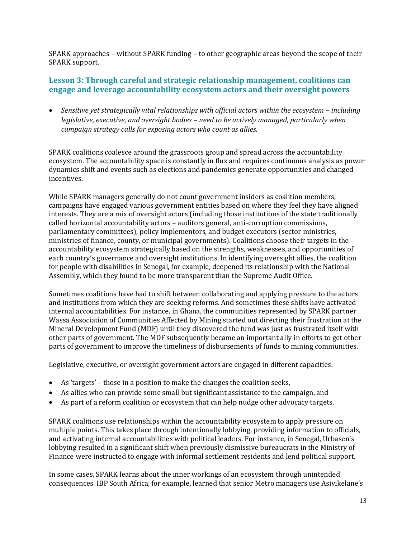SPARK approaches – without SPARK funding – to other geographic areas beyond the scope of their SPARK support.

#### **Lesson 3: Through careful and strategic relationship management, coalitions can engage and leverage accountability ecosystem actors and their oversight powers**

• Sensitive yet strategically vital relationships with official actors within the ecosystem – including *legislative, executive, and oversight bodies – need to be actively managed, particularly when campaign strategy calls for exposing actors who count as allies.* 

SPARK coalitions coalesce around the grassroots group and spread across the accountability ecosystem. The accountability space is constantly in flux and requires continuous analysis as power dynamics shift and events such as elections and pandemics generate opportunities and changed incentives.

While SPARK managers generally do not count government insiders as coalition members, campaigns have engaged various government entities based on where they feel they have aligned interests. They are a mix of oversight actors (including those institutions of the state traditionally called horizontal accountability actors – auditors general, anti-corruption commissions, parliamentary committees), policy implementors, and budget executors (sector ministries, ministries of finance, county, or municipal governments). Coalitions choose their targets in the accountability ecosystem strategically based on the strengths, weaknesses, and opportunities of each country's governance and oversight institutions. In identifying oversight allies, the coalition for people with disabilities in Senegal, for example, deepened its relationship with the National Assembly, which they found to be more transparent than the Supreme Audit Office.

Sometimes coalitions have had to shift between collaborating and applying pressure to the actors and institutions from which they are seeking reforms. And sometimes these shifts have activated internal accountabilities. For instance, in Ghana, the communities represented by SPARK partner Wassa Association of Communities Affected by Mining started out directing their frustration at the Mineral Development Fund (MDF) until they discovered the fund was just as frustrated itself with other parts of government. The MDF subsequently became an important ally in efforts to get other parts of government to improve the timeliness of disbursements of funds to mining communities.

Legislative, executive, or oversight government actors are engaged in different capacities:

- As 'targets' those in a position to make the changes the coalition seeks,
- As allies who can provide some small but significant assistance to the campaign, and
- As part of a reform coalition or ecosystem that can help nudge other advocacy targets.

SPARK coalitions use relationships within the accountability ecosystem to apply pressure on multiple points. This takes place through intentionally lobbying, providing information to officials, and activating internal accountabilities with political leaders. For instance, in Senegal, Urbasen's lobbying resulted in a significant shift when previously dismissive bureaucrats in the Ministry of Finance were instructed to engage with informal settlement residents and lend political support.

In some cases, SPARK learns about the inner workings of an ecosystem through unintended consequences. IBP South Africa, for example, learned that senior Metro managers use Asivikelane's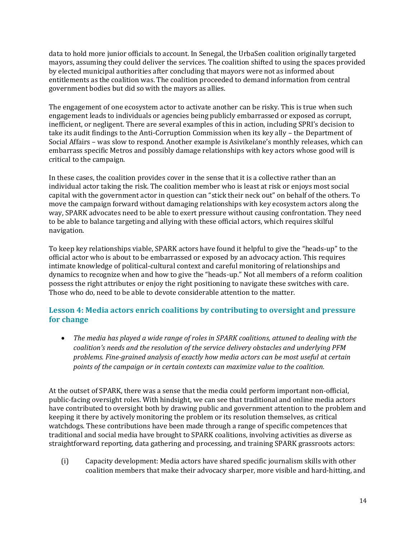data to hold more junior officials to account. In Senegal, the UrbaSen coalition originally targeted mayors, assuming they could deliver the services. The coalition shifted to using the spaces provided by elected municipal authorities after concluding that mayors were not as informed about entitlements as the coalition was. The coalition proceeded to demand information from central government bodies but did so with the mayors as allies.

The engagement of one ecosystem actor to activate another can be risky. This is true when such engagement leads to individuals or agencies being publicly embarrassed or exposed as corrupt, inefficient, or negligent. There are several examples of this in action, including SPRI's decision to take its audit findings to the Anti-Corruption Commission when its key ally – the Department of Social Affairs – was slow to respond. Another example is Asivikelane's monthly releases, which can embarrass specific Metros and possibly damage relationships with key actors whose good will is critical to the campaign.

In these cases, the coalition provides cover in the sense that it is a collective rather than an individual actor taking the risk. The coalition member who is least at risk or enjoys most social capital with the government actor in question can "stick their neck out" on behalf of the others. To move the campaign forward without damaging relationships with key ecosystem actors along the way, SPARK advocates need to be able to exert pressure without causing confrontation. They need to be able to balance targeting and allying with these official actors, which requires skilful navigation.

To keep key relationships viable, SPARK actors have found it helpful to give the "heads-up" to the official actor who is about to be embarrassed or exposed by an advocacy action. This requires intimate knowledge of political-cultural context and careful monitoring of relationships and dynamics to recognize when and how to give the "heads-up." Not all members of a reform coalition possess the right attributes or enjoy the right positioning to navigate these switches with care. Those who do, need to be able to devote considerable attention to the matter.

#### **Lesson 4: Media actors enrich coalitions by contributing to oversight and pressure for change**

• *The media has played a wide range of roles in SPARK coalitions, attuned to dealing with the coalition's needs and the resolution of the service delivery obstacles and underlying PFM problems. Fine-grained analysis of exactly how media actors can be most useful at certain points of the campaign or in certain contexts can maximize value to the coalition.* 

At the outset of SPARK, there was a sense that the media could perform important non-official, public-facing oversight roles. With hindsight, we can see that traditional and online media actors have contributed to oversight both by drawing public and government attention to the problem and keeping it there by actively monitoring the problem or its resolution themselves, as critical watchdogs. These contributions have been made through a range of specific competences that traditional and social media have brought to SPARK coalitions, involving activities as diverse as straightforward reporting, data gathering and processing, and training SPARK grassroots actors:

(i) Capacity development: Media actors have shared specific journalism skills with other coalition members that make their advocacy sharper, more visible and hard-hitting, and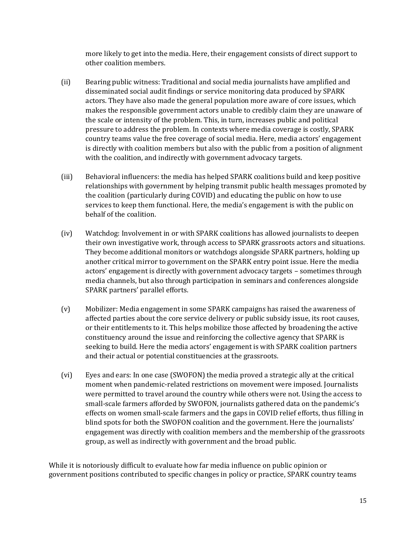more likely to get into the media. Here, their engagement consists of direct support to other coalition members.

- (ii) Bearing public witness: Traditional and social media journalists have amplified and disseminated social audit findings or service monitoring data produced by SPARK actors. They have also made the general population more aware of core issues, which makes the responsible government actors unable to credibly claim they are unaware of the scale or intensity of the problem. This, in turn, increases public and political pressure to address the problem. In contexts where media coverage is costly, SPARK country teams value the free coverage of social media. Here, media actors' engagement is directly with coalition members but also with the public from a position of alignment with the coalition, and indirectly with government advocacy targets.
- (iii) Behavioral influencers: the media has helped SPARK coalitions build and keep positive relationships with government by helping transmit public health messages promoted by the coalition (particularly during COVID) and educating the public on how to use services to keep them functional. Here, the media's engagement is with the public on behalf of the coalition.
- (iv) Watchdog: Involvement in or with SPARK coalitions has allowed journalists to deepen their own investigative work, through access to SPARK grassroots actors and situations. They become additional monitors or watchdogs alongside SPARK partners, holding up another critical mirror to government on the SPARK entry point issue. Here the media actors' engagement is directly with government advocacy targets – sometimes through media channels, but also through participation in seminars and conferences alongside SPARK partners' parallel efforts.
- (v) Mobilizer: Media engagement in some SPARK campaigns has raised the awareness of affected parties about the core service delivery or public subsidy issue, its root causes, or their entitlements to it. This helps mobilize those affected by broadening the active constituency around the issue and reinforcing the collective agency that SPARK is seeking to build. Here the media actors' engagement is with SPARK coalition partners and their actual or potential constituencies at the grassroots.
- (vi) Eyes and ears: In one case (SWOFON) the media proved a strategic ally at the critical moment when pandemic-related restrictions on movement were imposed. Journalists were permitted to travel around the country while others were not. Using the access to small-scale farmers afforded by SWOFON, journalists gathered data on the pandemic's effects on women small-scale farmers and the gaps in COVID relief efforts, thus filling in blind spots for both the SWOFON coalition and the government. Here the journalists' engagement was directly with coalition members and the membership of the grassroots group, as well as indirectly with government and the broad public.

While it is notoriously difficult to evaluate how far media influence on public opinion or government positions contributed to specific changes in policy or practice, SPARK country teams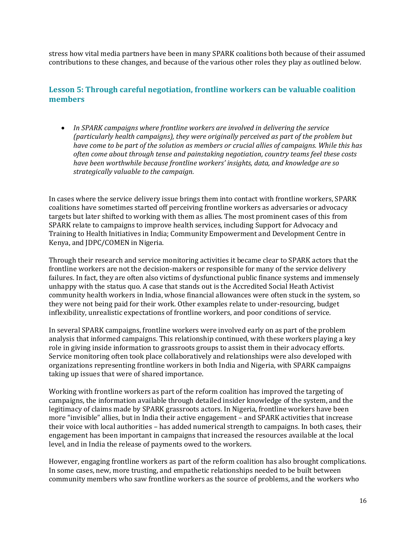stress how vital media partners have been in many SPARK coalitions both because of their assumed contributions to these changes, and because of the various other roles they play as outlined below.

#### **Lesson 5: Through careful negotiation, frontline workers can be valuable coalition members**

• *In SPARK campaigns where frontline workers are involved in delivering the service (particularly health campaigns), they were originally perceived as part of the problem but have come to be part of the solution as members or crucial allies of campaigns. While this has often come about through tense and painstaking negotiation, country teams feel these costs have been worthwhile because frontline workers' insights, data, and knowledge are so strategically valuable to the campaign.* 

In cases where the service delivery issue brings them into contact with frontline workers, SPARK coalitions have sometimes started off perceiving frontline workers as adversaries or advocacy targets but later shifted to working with them as allies. The most prominent cases of this from SPARK relate to campaigns to improve health services, including Support for Advocacy and Training to Health Initiatives in India; Community Empowerment and Development Centre in Kenya, and JDPC/COMEN in Nigeria.

Through their research and service monitoring activities it became clear to SPARK actors that the frontline workers are not the decision-makers or responsible for many of the service delivery failures. In fact, they are often also victims of dysfunctional public finance systems and immensely unhappy with the status quo. A case that stands out is the Accredited Social Heath Activist community health workers in India, whose financial allowances were often stuck in the system, so they were not being paid for their work. Other examples relate to under-resourcing, budget inflexibility, unrealistic expectations of frontline workers, and poor conditions of service.

In several SPARK campaigns, frontline workers were involved early on as part of the problem analysis that informed campaigns. This relationship continued, with these workers playing a key role in giving inside information to grassroots groups to assist them in their advocacy efforts. Service monitoring often took place collaboratively and relationships were also developed with organizations representing frontline workers in both India and Nigeria, with SPARK campaigns taking up issues that were of shared importance.

Working with frontline workers as part of the reform coalition has improved the targeting of campaigns, the information available through detailed insider knowledge of the system, and the legitimacy of claims made by SPARK grassroots actors. In Nigeria, frontline workers have been more "invisible" allies, but in India their active engagement – and SPARK activities that increase their voice with local authorities – has added numerical strength to campaigns. In both cases, their engagement has been important in campaigns that increased the resources available at the local level, and in India the release of payments owed to the workers.

However, engaging frontline workers as part of the reform coalition has also brought complications. In some cases, new, more trusting, and empathetic relationships needed to be built between community members who saw frontline workers as the source of problems, and the workers who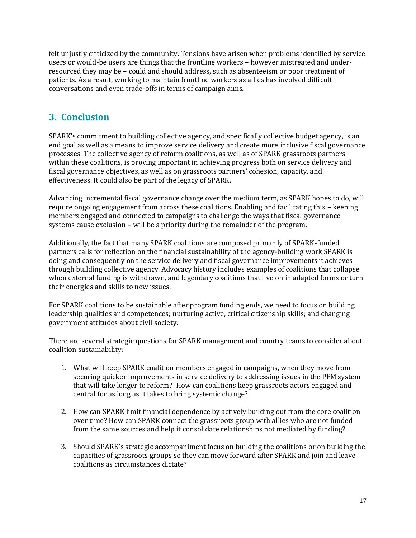felt unjustly criticized by the community. Tensions have arisen when problems identified by service users or would-be users are things that the frontline workers – however mistreated and underresourced they may be – could and should address, such as absenteeism or poor treatment of patients. As a result, working to maintain frontline workers as allies has involved difficult conversations and even trade-offs in terms of campaign aims.

## **3. Conclusion**

SPARK's commitment to building collective agency, and specifically collective budget agency, is an end goal as well as a means to improve service delivery and create more inclusive fiscal governance processes. The collective agency of reform coalitions, as well as of SPARK grassroots partners within these coalitions, is proving important in achieving progress both on service delivery and fiscal governance objectives, as well as on grassroots partners' cohesion, capacity, and effectiveness. It could also be part of the legacy of SPARK.

Advancing incremental fiscal governance change over the medium term, as SPARK hopes to do, will require ongoing engagement from across these coalitions. Enabling and facilitating this – keeping members engaged and connected to campaigns to challenge the ways that fiscal governance systems cause exclusion – will be a priority during the remainder of the program.

Additionally, the fact that many SPARK coalitions are composed primarily of SPARK-funded partners calls for reflection on the financial sustainability of the agency-building work SPARK is doing and consequently on the service delivery and fiscal governance improvements it achieves through building collective agency. Advocacy history includes examples of coalitions that collapse when external funding is withdrawn, and legendary coalitions that live on in adapted forms or turn their energies and skills to new issues.

For SPARK coalitions to be sustainable after program funding ends, we need to focus on building leadership qualities and competences; nurturing active, critical citizenship skills; and changing government attitudes about civil society.

There are several strategic questions for SPARK management and country teams to consider about coalition sustainability:

- 1. What will keep SPARK coalition members engaged in campaigns, when they move from securing quicker improvements in service delivery to addressing issues in the PFM system that will take longer to reform? How can coalitions keep grassroots actors engaged and central for as long as it takes to bring systemic change?
- 2. How can SPARK limit financial dependence by actively building out from the core coalition over time? How can SPARK connect the grassroots group with allies who are not funded from the same sources and help it consolidate relationships not mediated by funding?
- 3. Should SPARK's strategic accompaniment focus on building the coalitions or on building the capacities of grassroots groups so they can move forward after SPARK and join and leave coalitions as circumstances dictate?